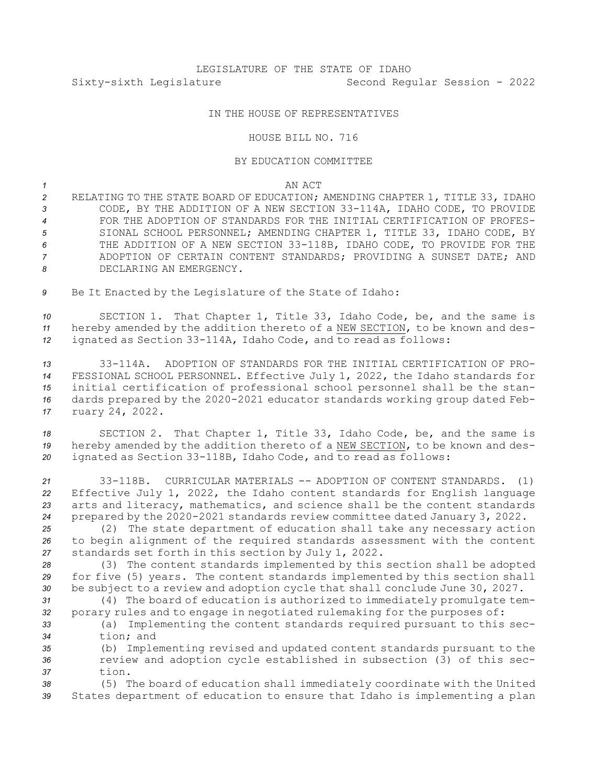## IN THE HOUSE OF REPRESENTATIVES

## HOUSE BILL NO. 716

## BY EDUCATION COMMITTEE

*1* AN ACT

 RELATING TO THE STATE BOARD OF EDUCATION; AMENDING CHAPTER 1, TITLE 33, IDAHO CODE, BY THE ADDITION OF A NEW SECTION 33-114A, IDAHO CODE, TO PROVIDE FOR THE ADOPTION OF STANDARDS FOR THE INITIAL CERTIFICATION OF PROFES- SIONAL SCHOOL PERSONNEL; AMENDING CHAPTER 1, TITLE 33, IDAHO CODE, BY THE ADDITION OF A NEW SECTION 33-118B, IDAHO CODE, TO PROVIDE FOR THE ADOPTION OF CERTAIN CONTENT STANDARDS; PROVIDING A SUNSET DATE; AND DECLARING AN EMERGENCY.

*<sup>9</sup>* Be It Enacted by the Legislature of the State of Idaho:

*<sup>10</sup>* SECTION 1. That Chapter 1, Title 33, Idaho Code, be, and the same is *<sup>11</sup>* hereby amended by the addition thereto of <sup>a</sup> NEW SECTION, to be known and des-*<sup>12</sup>* ignated as Section 33-114A, Idaho Code, and to read as follows:

 33-114A. ADOPTION OF STANDARDS FOR THE INITIAL CERTIFICATION OF PRO- FESSIONAL SCHOOL PERSONNEL. Effective July 1, 2022, the Idaho standards for initial certification of professional school personnel shall be the stan- dards prepared by the 2020-2021 educator standards working group dated Feb-ruary 24, 2022.

*<sup>18</sup>* SECTION 2. That Chapter 1, Title 33, Idaho Code, be, and the same is *<sup>19</sup>* hereby amended by the addition thereto of <sup>a</sup> NEW SECTION, to be known and des-*<sup>20</sup>* ignated as Section 33-118B, Idaho Code, and to read as follows:

 33-118B. CURRICULAR MATERIALS -- ADOPTION OF CONTENT STANDARDS. (1) Effective July 1, 2022, the Idaho content standards for English language arts and literacy, mathematics, and science shall be the content standards prepared by the 2020-2021 standards review committee dated January 3, 2022.

*<sup>25</sup>* (2) The state department of education shall take any necessary action *<sup>26</sup>* to begin alignment of the required standards assessment with the content *<sup>27</sup>* standards set forth in this section by July 1, 2022.

*<sup>28</sup>* (3) The content standards implemented by this section shall be adopted *<sup>29</sup>* for five (5) years. The content standards implemented by this section shall *<sup>30</sup>* be subject to <sup>a</sup> review and adoption cycle that shall conclude June 30, 2027.

*<sup>31</sup>* (4) The board of education is authorized to immediately promulgate tem-*<sup>32</sup>* porary rules and to engage in negotiated rulemaking for the purposes of:

*<sup>33</sup>* (a) Implementing the content standards required pursuant to this sec-*34* tion; and

*<sup>35</sup>* (b) Implementing revised and updated content standards pursuant to the *<sup>36</sup>* review and adoption cycle established in subsection (3) of this sec-*37* tion.

*<sup>38</sup>* (5) The board of education shall immediately coordinate with the United *<sup>39</sup>* States department of education to ensure that Idaho is implementing <sup>a</sup> plan